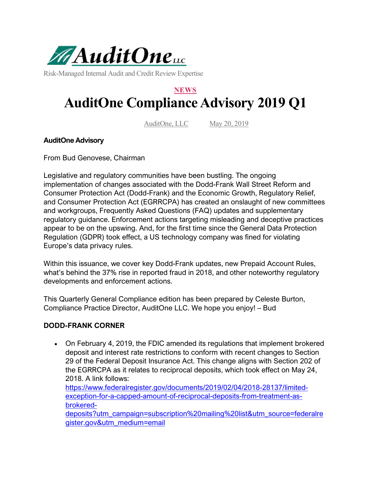

Risk-Managed Internal Audit and Credit Review Expertise

# **NEWS AuditOne Compliance Advisory 2019 Q1**

AuditOne, LLC May 20, 2019

#### **AuditOne Advisory**

From Bud Genovese, Chairman

Legislative and regulatory communities have been bustling. The ongoing implementation of changes associated with the Dodd-Frank Wall Street Reform and Consumer Protection Act (Dodd-Frank) and the Economic Growth, Regulatory Relief, and Consumer Protection Act (EGRRCPA) has created an onslaught of new committees and workgroups, Frequently Asked Questions (FAQ) updates and supplementary regulatory guidance. Enforcement actions targeting misleading and deceptive practices appear to be on the upswing. And, for the first time since the General Data Protection Regulation (GDPR) took effect, a US technology company was fined for violating Europe's data privacy rules.

Within this issuance, we cover key Dodd-Frank updates, new Prepaid Account Rules, what's behind the 37% rise in reported fraud in 2018, and other noteworthy regulatory developments and enforcement actions.

This Quarterly General Compliance edition has been prepared by Celeste Burton, Compliance Practice Director, AuditOne LLC. We hope you enjoy! – Bud

#### **DODD-FRANK CORNER**

• On February 4, 2019, the FDIC amended its regulations that implement brokered deposit and interest rate restrictions to conform with recent changes to Section 29 of the Federal Deposit Insurance Act. This change aligns with Section 202 of the EGRRCPA as it relates to reciprocal deposits, which took effect on May 24, 2018. A link follows:

[https://www.federalregister.gov/documents/2019/02/04/2018-28137/limited](https://www.federalregister.gov/documents/2019/02/04/2018-28137/limited-exception-for-a-capped-amount-of-reciprocal-deposits-from-treatment-as-brokered-deposits?utm_campaign=subscription%20mailing%20list&utm_source=federalregister.gov&utm_medium=email)[exception-for-a-capped-amount-of-reciprocal-deposits-from-treatment-as](https://www.federalregister.gov/documents/2019/02/04/2018-28137/limited-exception-for-a-capped-amount-of-reciprocal-deposits-from-treatment-as-brokered-deposits?utm_campaign=subscription%20mailing%20list&utm_source=federalregister.gov&utm_medium=email)[brokered-](https://www.federalregister.gov/documents/2019/02/04/2018-28137/limited-exception-for-a-capped-amount-of-reciprocal-deposits-from-treatment-as-brokered-deposits?utm_campaign=subscription%20mailing%20list&utm_source=federalregister.gov&utm_medium=email)

[deposits?utm\\_campaign=subscription%20mailing%20list&utm\\_source=federalre](https://www.federalregister.gov/documents/2019/02/04/2018-28137/limited-exception-for-a-capped-amount-of-reciprocal-deposits-from-treatment-as-brokered-deposits?utm_campaign=subscription%20mailing%20list&utm_source=federalregister.gov&utm_medium=email) [gister.gov&utm\\_medium=email](https://www.federalregister.gov/documents/2019/02/04/2018-28137/limited-exception-for-a-capped-amount-of-reciprocal-deposits-from-treatment-as-brokered-deposits?utm_campaign=subscription%20mailing%20list&utm_source=federalregister.gov&utm_medium=email)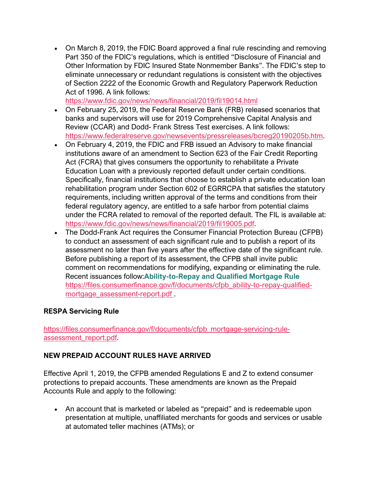• On March 8, 2019, the FDIC Board approved a final rule rescinding and removing Part 350 of the FDIC's regulations, which is entitled "Disclosure of Financial and Other Information by FDIC Insured State Nonmember Banks". The FDIC's step to eliminate unnecessary or redundant regulations is consistent with the objectives of Section 2222 of the Economic Growth and Regulatory Paperwork Reduction Act of 1996. A link follows:

<https://www.fdic.gov/news/news/financial/2019/fil19014.html>

- On February 25, 2019, the Federal Reserve Bank (FRB) released scenarios that banks and supervisors will use for 2019 Comprehensive Capital Analysis and Review (CCAR) and Dodd- Frank Stress Test exercises. A link follows: [https://www.federalreserve.gov/newsevents/pressreleases/bcreg20190205b.htm.](https://www.federalreserve.gov/newsevents/pressreleases/bcreg20190205b.htm)
- On February 4, 2019, the FDIC and FRB issued an Advisory to make financial institutions aware of an amendment to Section 623 of the Fair Credit Reporting Act (FCRA) that gives consumers the opportunity to rehabilitate a Private Education Loan with a previously reported default under certain conditions. Specifically, financial institutions that choose to establish a private education loan rehabilitation program under Section 602 of EGRRCPA that satisfies the statutory requirements, including written approval of the terms and conditions from their federal regulatory agency, are entitled to a safe harbor from potential claims under the FCRA related to removal of the reported default. The FIL is available at: [https://www.fdic.gov/news/news/financial/2019/fil19005.pdf.](https://www.fdic.gov/news/news/financial/2019/fil19005.pdf)
- The Dodd-Frank Act requires the Consumer Financial Protection Bureau (CFPB) to conduct an assessment of each significant rule and to publish a report of its assessment no later than five years after the effective date of the significant rule. Before publishing a report of its assessment, the CFPB shall invite public comment on recommendations for modifying, expanding or eliminating the rule. Recent issuances follow:**Ability-to-Repay and Qualified Mortgage Rule** [https://files.consumerfinance.gov/f/documents/cfpb\\_ability-to-repay-qualified](https://files.consumerfinance.gov/f/documents/cfpb_ability-to-repay-qualified-mortgage_assessment-report.pdf)[mortgage\\_assessment-report.pdf](https://files.consumerfinance.gov/f/documents/cfpb_ability-to-repay-qualified-mortgage_assessment-report.pdf) .

## **RESPA Servicing Rule**

[https://files.consumerfinance.gov/f/documents/cfpb\\_mortgage-servicing-rule](https://files.consumerfinance.gov/f/documents/cfpb_mortgage-servicing-rule-assessment_report.pdf)[assessment\\_report.pdf.](https://files.consumerfinance.gov/f/documents/cfpb_mortgage-servicing-rule-assessment_report.pdf)

## **NEW PREPAID ACCOUNT RULES HAVE ARRIVED**

Effective April 1, 2019, the CFPB amended Regulations E and Z to extend consumer protections to prepaid accounts. These amendments are known as the Prepaid Accounts Rule and apply to the following:

• An account that is marketed or labeled as "prepaid" and is redeemable upon presentation at multiple, unaffiliated merchants for goods and services or usable at automated teller machines (ATMs); or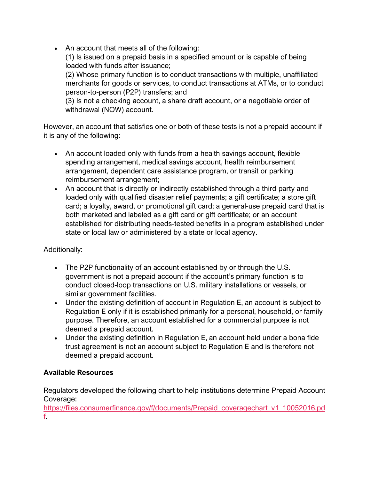• An account that meets all of the following:

(1) Is issued on a prepaid basis in a specified amount or is capable of being loaded with funds after issuance;

(2) Whose primary function is to conduct transactions with multiple, unaffiliated merchants for goods or services, to conduct transactions at ATMs, or to conduct person-to-person (P2P) transfers; and

(3) Is not a checking account, a share draft account, or a negotiable order of withdrawal (NOW) account.

However, an account that satisfies one or both of these tests is not a prepaid account if it is any of the following:

- An account loaded only with funds from a health savings account, flexible spending arrangement, medical savings account, health reimbursement arrangement, dependent care assistance program, or transit or parking reimbursement arrangement;
- An account that is directly or indirectly established through a third party and loaded only with qualified disaster relief payments; a gift certificate; a store gift card; a loyalty, award, or promotional gift card; a general-use prepaid card that is both marketed and labeled as a gift card or gift certificate; or an account established for distributing needs-tested benefits in a program established under state or local law or administered by a state or local agency.

# Additionally:

- The P2P functionality of an account established by or through the U.S. government is not a prepaid account if the account's primary function is to conduct closed-loop transactions on U.S. military installations or vessels, or similar government facilities.
- Under the existing definition of account in Regulation E, an account is subject to Regulation E only if it is established primarily for a personal, household, or family purpose. Therefore, an account established for a commercial purpose is not deemed a prepaid account.
- Under the existing definition in Regulation E, an account held under a bona fide trust agreement is not an account subject to Regulation E and is therefore not deemed a prepaid account.

## **Available Resources**

Regulators developed the following chart to help institutions determine Prepaid Account Coverage:

[https://files.consumerfinance.gov/f/documents/Prepaid\\_coveragechart\\_v1\\_10052016.pd](https://files.consumerfinance.gov/f/documents/Prepaid_coveragechart_v1_10052016.pdf) [f.](https://files.consumerfinance.gov/f/documents/Prepaid_coveragechart_v1_10052016.pdf)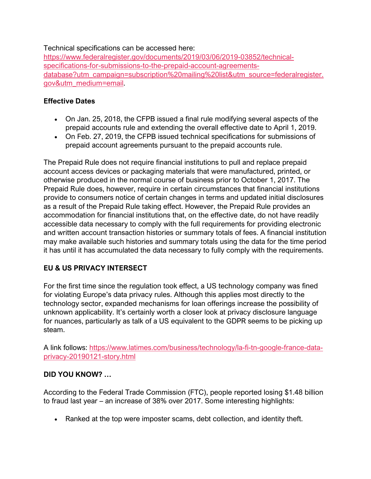#### Technical specifications can be accessed here:

[https://www.federalregister.gov/documents/2019/03/06/2019-03852/technical](https://www.federalregister.gov/documents/2019/03/06/2019-03852/technical-specifications-for-submissions-to-the-prepaid-account-agreements-database?utm_campaign=subscription%20mailing%20list&utm_source=federalregister.gov&utm_medium=email)[specifications-for-submissions-to-the-prepaid-account-agreements](https://www.federalregister.gov/documents/2019/03/06/2019-03852/technical-specifications-for-submissions-to-the-prepaid-account-agreements-database?utm_campaign=subscription%20mailing%20list&utm_source=federalregister.gov&utm_medium=email)[database?utm\\_campaign=subscription%20mailing%20list&utm\\_source=federalregister.](https://www.federalregister.gov/documents/2019/03/06/2019-03852/technical-specifications-for-submissions-to-the-prepaid-account-agreements-database?utm_campaign=subscription%20mailing%20list&utm_source=federalregister.gov&utm_medium=email) [gov&utm\\_medium=email.](https://www.federalregister.gov/documents/2019/03/06/2019-03852/technical-specifications-for-submissions-to-the-prepaid-account-agreements-database?utm_campaign=subscription%20mailing%20list&utm_source=federalregister.gov&utm_medium=email)

## **Effective Dates**

- On Jan. 25, 2018, the CFPB issued a final rule modifying several aspects of the prepaid accounts rule and extending the overall effective date to April 1, 2019.
- On Feb. 27, 2019, the CFPB issued technical specifications for submissions of prepaid account agreements pursuant to the prepaid accounts rule.

The Prepaid Rule does not require financial institutions to pull and replace prepaid account access devices or packaging materials that were manufactured, printed, or otherwise produced in the normal course of business prior to October 1, 2017. The Prepaid Rule does, however, require in certain circumstances that financial institutions provide to consumers notice of certain changes in terms and updated initial disclosures as a result of the Prepaid Rule taking effect. However, the Prepaid Rule provides an accommodation for financial institutions that, on the effective date, do not have readily accessible data necessary to comply with the full requirements for providing electronic and written account transaction histories or summary totals of fees. A financial institution may make available such histories and summary totals using the data for the time period it has until it has accumulated the data necessary to fully comply with the requirements.

# **EU & US PRIVACY INTERSECT**

For the first time since the regulation took effect, a US technology company was fined for violating Europe's data privacy rules. Although this applies most directly to the technology sector, expanded mechanisms for loan offerings increase the possibility of unknown applicability. It's certainly worth a closer look at privacy disclosure language for nuances, particularly as talk of a US equivalent to the GDPR seems to be picking up steam.

A link follows: [https://www.latimes.com/business/technology/la-fi-tn-google-france-data](https://www.latimes.com/business/technology/la-fi-tn-google-france-data-privacy-20190121-story.html)[privacy-20190121-story.html](https://www.latimes.com/business/technology/la-fi-tn-google-france-data-privacy-20190121-story.html)

# **DID YOU KNOW? …**

According to the Federal Trade Commission (FTC), people reported losing \$1.48 billion to fraud last year – an increase of 38% over 2017. Some interesting highlights:

• Ranked at the top were imposter scams, debt collection, and identity theft.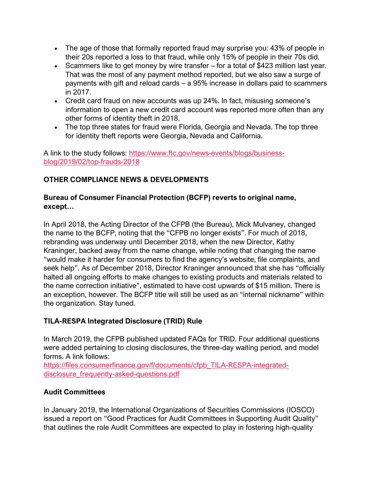- The age of those that formally reported fraud may surprise you: 43% of people in their 20s reported a loss to that fraud, while only 15% of people in their 70s did.
- Scammers like to get money by wire transfer for a total of \$423 million last year. That was the most of any payment method reported, but we also saw a surge of payments with gift and reload cards – a 95% increase in dollars paid to scammers in 2017.
- Credit card fraud on new accounts was up 24%. In fact, misusing someone's information to open a new credit card account was reported more often than any other forms of identity theft in 2018.
- The top three states for fraud were Florida, Georgia and Nevada. The top three for identity theft reports were Georgia, Nevada and California.

A link to the study follows: [https://www.ftc.gov/news-events/blogs/business](https://www.ftc.gov/news-events/blogs/business-blog/2019/02/top-frauds-2018)[blog/2019/02/top-frauds-2018](https://www.ftc.gov/news-events/blogs/business-blog/2019/02/top-frauds-2018)

# **OTHER COMPLIANCE NEWS & DEVELOPMENTS**

## **Bureau of Consumer Financial Protection (BCFP) reverts to original name, except…**

In April 2018, the Acting Director of the CFPB (the Bureau), Mick Mulvaney, changed the name to the BCFP, noting that the "CFPB no longer exists". For much of 2018, rebranding was underway until December 2018, when the new Director, Kathy Kraninger, backed away from the name change, while noting that changing the name "would make it harder for consumers to find the agency's website, file complaints, and seek help". As of December 2018, Director Kraninger announced that she has "officially halted all ongoing efforts to make changes to existing products and materials related to the name correction initiative", estimated to have cost upwards of \$15 million. There is an exception, however. The BCFP title will still be used as an "internal nickname" within the organization. Stay tuned.

# **TILA-RESPA Integrated Disclosure (TRID) Rule**

In March 2019, the CFPB published updated FAQs for TRID. Four additional questions were added pertaining to closing disclosures, the three-day waiting period, and model forms. A link follows:

[https://files.consumerfinance.gov/f/documents/cfpb\\_TILA-RESPA-integrated](https://files.consumerfinance.gov/f/documents/cfpb_TILA-RESPA-integrated-disclosure_frequently-asked-questions.pdf)[disclosure\\_frequently-asked-questions.pdf](https://files.consumerfinance.gov/f/documents/cfpb_TILA-RESPA-integrated-disclosure_frequently-asked-questions.pdf)

# **Audit Committees**

In January 2019, the International Organizations of Securities Commissions (IOSCO) issued a report on "Good Practices for Audit Committees in Supporting Audit Quality" that outlines the role Audit Committees are expected to play in fostering high-quality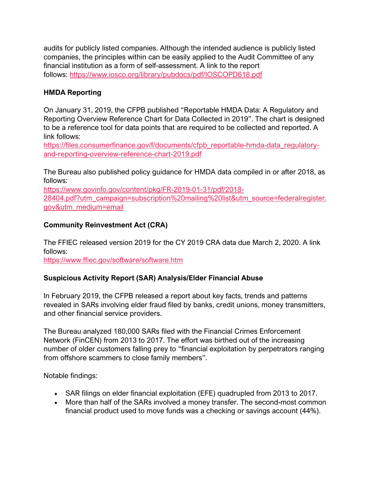audits for publicly listed companies. Although the intended audience is publicly listed companies, the principles within can be easily applied to the Audit Committee of any financial institution as a form of self-assessment. A link to the report follows: <https://www.iosco.org/library/pubdocs/pdf/IOSCOPD618.pdf>

## **HMDA Reporting**

On January 31, 2019, the CFPB published "Reportable HMDA Data: A Regulatory and Reporting Overview Reference Chart for Data Collected in 2019". The chart is designed to be a reference tool for data points that are required to be collected and reported. A link follows:

[https://files.consumerfinance.gov/f/documents/cfpb\\_reportable-hmda-data\\_regulatory](https://files.consumerfinance.gov/f/documents/cfpb_reportable-hmda-data_regulatory-and-reporting-overview-reference-chart-2019.pdf)[and-reporting-overview-reference-chart-2019.pdf](https://files.consumerfinance.gov/f/documents/cfpb_reportable-hmda-data_regulatory-and-reporting-overview-reference-chart-2019.pdf)

The Bureau also published policy guidance for HMDA data compiled in or after 2018, as follows:

[https://www.govinfo.gov/content/pkg/FR-2019-01-31/pdf/2018-](https://www.govinfo.gov/content/pkg/FR-2019-01-31/pdf/2018-28404.pdf?utm_campaign=subscription%20mailing%20list&utm_source=federalregister.gov&utm_medium=email) [28404.pdf?utm\\_campaign=subscription%20mailing%20list&utm\\_source=federalregister.](https://www.govinfo.gov/content/pkg/FR-2019-01-31/pdf/2018-28404.pdf?utm_campaign=subscription%20mailing%20list&utm_source=federalregister.gov&utm_medium=email) [gov&utm\\_medium=email](https://www.govinfo.gov/content/pkg/FR-2019-01-31/pdf/2018-28404.pdf?utm_campaign=subscription%20mailing%20list&utm_source=federalregister.gov&utm_medium=email)

# **Community Reinvestment Act (CRA)**

The FFIEC released version 2019 for the CY 2019 CRA data due March 2, 2020. A link follows:

<https://www.ffiec.gov/software/software.htm>

## **Suspicious Activity Report (SAR) Analysis/Elder Financial Abuse**

In February 2019, the CFPB released a report about key facts, trends and patterns revealed in SARs involving elder fraud filed by banks, credit unions, money transmitters, and other financial service providers.

The Bureau analyzed 180,000 SARs filed with the Financial Crimes Enforcement Network (FinCEN) from 2013 to 2017. The effort was birthed out of the increasing number of older customers falling prey to "financial exploitation by perpetrators ranging from offshore scammers to close family members".

Notable findings:

- SAR filings on elder financial exploitation (EFE) quadrupled from 2013 to 2017.
- More than half of the SARs involved a money transfer. The second-most common financial product used to move funds was a checking or savings account (44%).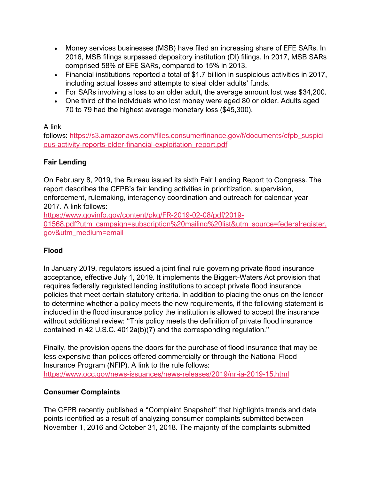- Money services businesses (MSB) have filed an increasing share of EFE SARs. In 2016, MSB filings surpassed depository institution (DI) filings. In 2017, MSB SARs comprised 58% of EFE SARs, compared to 15% in 2013.
- Financial institutions reported a total of \$1.7 billion in suspicious activities in 2017, including actual losses and attempts to steal older adults' funds.
- For SARs involving a loss to an older adult, the average amount lost was \$34,200.
- One third of the individuals who lost money were aged 80 or older. Adults aged 70 to 79 had the highest average monetary loss (\$45,300).

# A link

follows: [https://s3.amazonaws.com/files.consumerfinance.gov/f/documents/cfpb\\_suspici](https://s3.amazonaws.com/files.consumerfinance.gov/f/documents/cfpb_suspicious-activity-reports-elder-financial-exploitation_report.pdf) [ous-activity-reports-elder-financial-exploitation\\_report.pdf](https://s3.amazonaws.com/files.consumerfinance.gov/f/documents/cfpb_suspicious-activity-reports-elder-financial-exploitation_report.pdf)

# **Fair Lending**

On February 8, 2019, the Bureau issued its sixth Fair Lending Report to Congress. The report describes the CFPB's fair lending activities in prioritization, supervision, enforcement, rulemaking, interagency coordination and outreach for calendar year 2017. A link follows:

[https://www.govinfo.gov/content/pkg/FR-2019-02-08/pdf/2019-](https://www.govinfo.gov/content/pkg/FR-2019-02-08/pdf/2019-01568.pdf?utm_campaign=subscription%20mailing%20list&utm_source=federalregister.gov&utm_medium=email) [01568.pdf?utm\\_campaign=subscription%20mailing%20list&utm\\_source=federalregister.](https://www.govinfo.gov/content/pkg/FR-2019-02-08/pdf/2019-01568.pdf?utm_campaign=subscription%20mailing%20list&utm_source=federalregister.gov&utm_medium=email) [gov&utm\\_medium=email](https://www.govinfo.gov/content/pkg/FR-2019-02-08/pdf/2019-01568.pdf?utm_campaign=subscription%20mailing%20list&utm_source=federalregister.gov&utm_medium=email)

# **Flood**

In January 2019, regulators issued a joint final rule governing private flood insurance acceptance, effective July 1, 2019. It implements the Biggert-Waters Act provision that requires federally regulated lending institutions to accept private flood insurance policies that meet certain statutory criteria. In addition to placing the onus on the lender to determine whether a policy meets the new requirements, if the following statement is included in the flood insurance policy the institution is allowed to accept the insurance without additional review: "This policy meets the definition of private flood insurance contained in 42 U.S.C. 4012a(b)(7) and the corresponding regulation."

Finally, the provision opens the doors for the purchase of flood insurance that may be less expensive than polices offered commercially or through the National Flood Insurance Program (NFIP). A link to the rule follows: <https://www.occ.gov/news-issuances/news-releases/2019/nr-ia-2019-15.html>

# **Consumer Complaints**

The CFPB recently published a "Complaint Snapshot" that highlights trends and data points identified as a result of analyzing consumer complaints submitted between November 1, 2016 and October 31, 2018. The majority of the complaints submitted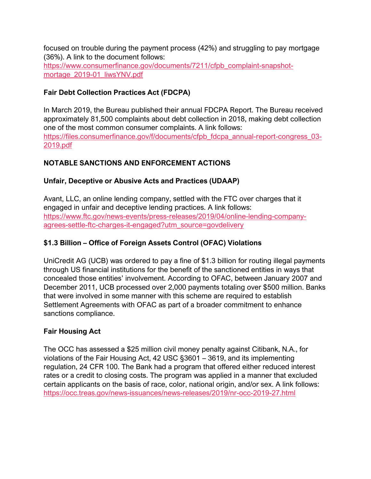focused on trouble during the payment process (42%) and struggling to pay mortgage (36%). A link to the document follows: [https://www.consumerfinance.gov/documents/7211/cfpb\\_complaint-snapshot](https://www.consumerfinance.gov/documents/7211/cfpb_complaint-snapshot-mortage_2019-01_liwsYNV.pdf)[mortage\\_2019-01\\_liwsYNV.pdf](https://www.consumerfinance.gov/documents/7211/cfpb_complaint-snapshot-mortage_2019-01_liwsYNV.pdf)

## **Fair Debt Collection Practices Act (FDCPA)**

In March 2019, the Bureau published their annual FDCPA Report. The Bureau received approximately 81,500 complaints about debt collection in 2018, making debt collection one of the most common consumer complaints. A link follows: [https://files.consumerfinance.gov/f/documents/cfpb\\_fdcpa\\_annual-report-congress\\_03-](https://files.consumerfinance.gov/f/documents/cfpb_fdcpa_annual-report-congress_03-2019.pdf) [2019.pdf](https://files.consumerfinance.gov/f/documents/cfpb_fdcpa_annual-report-congress_03-2019.pdf)

# **NOTABLE SANCTIONS AND ENFORCEMENT ACTIONS**

## **Unfair, Deceptive or Abusive Acts and Practices (UDAAP)**

Avant, LLC, an online lending company, settled with the FTC over charges that it engaged in unfair and deceptive lending practices. A link follows: [https://www.ftc.gov/news-events/press-releases/2019/04/online-lending-company](https://www.ftc.gov/news-events/press-releases/2019/04/online-lending-company-agrees-settle-ftc-charges-it-engaged?utm_source=govdelivery)[agrees-settle-ftc-charges-it-engaged?utm\\_source=govdelivery](https://www.ftc.gov/news-events/press-releases/2019/04/online-lending-company-agrees-settle-ftc-charges-it-engaged?utm_source=govdelivery)

## **\$1.3 Billion – Office of Foreign Assets Control (OFAC) Violations**

UniCredit AG (UCB) was ordered to pay a fine of \$1.3 billion for routing illegal payments through US financial institutions for the benefit of the sanctioned entities in ways that concealed those entities' involvement. According to OFAC, between January 2007 and December 2011, UCB processed over 2,000 payments totaling over \$500 million. Banks that were involved in some manner with this scheme are required to establish Settlement Agreements with OFAC as part of a broader commitment to enhance sanctions compliance.

## **Fair Housing Act**

The OCC has assessed a \$25 million civil money penalty against Citibank, N.A., for violations of the Fair Housing Act, 42 USC §3601 – 3619, and its implementing regulation, 24 CFR 100. The Bank had a program that offered either reduced interest rates or a credit to closing costs. The program was applied in a manner that excluded certain applicants on the basis of race, color, national origin, and/or sex. A link follows: <https://occ.treas.gov/news-issuances/news-releases/2019/nr-occ-2019-27.html>